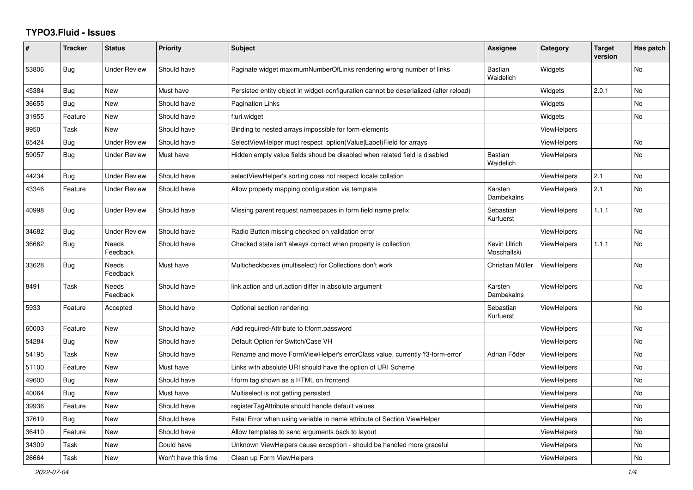## **TYPO3.Fluid - Issues**

| ∦     | <b>Tracker</b> | <b>Status</b>            | <b>Priority</b>      | Subject                                                                               | Assignee                    | Category           | <b>Target</b><br>version | Has patch |
|-------|----------------|--------------------------|----------------------|---------------------------------------------------------------------------------------|-----------------------------|--------------------|--------------------------|-----------|
| 53806 | Bug            | Under Review             | Should have          | Paginate widget maximumNumberOfLinks rendering wrong number of links                  | <b>Bastian</b><br>Waidelich | Widgets            |                          | No        |
| 45384 | <b>Bug</b>     | <b>New</b>               | Must have            | Persisted entity object in widget-configuration cannot be deserialized (after reload) |                             | Widgets            | 2.0.1                    | No        |
| 36655 | Bug            | New                      | Should have          | Pagination Links                                                                      |                             | Widgets            |                          | No        |
| 31955 | Feature        | New                      | Should have          | f:uri.widget                                                                          |                             | Widgets            |                          | No        |
| 9950  | Task           | New                      | Should have          | Binding to nested arrays impossible for form-elements                                 |                             | <b>ViewHelpers</b> |                          |           |
| 65424 | Bug            | <b>Under Review</b>      | Should have          | SelectViewHelper must respect option(Value Label)Field for arrays                     |                             | <b>ViewHelpers</b> |                          | No        |
| 59057 | Bug            | <b>Under Review</b>      | Must have            | Hidden empty value fields shoud be disabled when related field is disabled            | <b>Bastian</b><br>Waidelich | <b>ViewHelpers</b> |                          | <b>No</b> |
| 44234 | Bug            | <b>Under Review</b>      | Should have          | selectViewHelper's sorting does not respect locale collation                          |                             | <b>ViewHelpers</b> | 2.1                      | No        |
| 43346 | Feature        | <b>Under Review</b>      | Should have          | Allow property mapping configuration via template                                     | Karsten<br>Dambekalns       | <b>ViewHelpers</b> | 2.1                      | No        |
| 40998 | <b>Bug</b>     | <b>Under Review</b>      | Should have          | Missing parent request namespaces in form field name prefix                           | Sebastian<br>Kurfuerst      | ViewHelpers        | 1.1.1                    | No        |
| 34682 | Bug            | <b>Under Review</b>      | Should have          | Radio Button missing checked on validation error                                      |                             | <b>ViewHelpers</b> |                          | No        |
| 36662 | Bug            | Needs<br>Feedback        | Should have          | Checked state isn't always correct when property is collection                        | Kevin Ulrich<br>Moschallski | <b>ViewHelpers</b> | 1.1.1                    | No        |
| 33628 | <b>Bug</b>     | <b>Needs</b><br>Feedback | Must have            | Multicheckboxes (multiselect) for Collections don't work                              | Christian Müller            | <b>ViewHelpers</b> |                          | No        |
| 8491  | Task           | Needs<br>Feedback        | Should have          | link.action and uri.action differ in absolute argument                                | Karsten<br>Dambekalns       | <b>ViewHelpers</b> |                          | No        |
| 5933  | Feature        | Accepted                 | Should have          | Optional section rendering                                                            | Sebastian<br>Kurfuerst      | <b>ViewHelpers</b> |                          | No        |
| 60003 | Feature        | <b>New</b>               | Should have          | Add required-Attribute to f:form.password                                             |                             | <b>ViewHelpers</b> |                          | No        |
| 54284 | <b>Bug</b>     | New                      | Should have          | Default Option for Switch/Case VH                                                     |                             | ViewHelpers        |                          | No        |
| 54195 | Task           | New                      | Should have          | Rename and move FormViewHelper's errorClass value, currently 'f3-form-error'          | Adrian Föder                | ViewHelpers        |                          | No        |
| 51100 | Feature        | New                      | Must have            | Links with absolute URI should have the option of URI Scheme                          |                             | ViewHelpers        |                          | No        |
| 49600 | <b>Bug</b>     | New                      | Should have          | f:form tag shown as a HTML on frontend                                                |                             | ViewHelpers        |                          | No        |
| 40064 | Bug            | New                      | Must have            | Multiselect is not getting persisted                                                  |                             | ViewHelpers        |                          | No        |
| 39936 | Feature        | New                      | Should have          | registerTagAttribute should handle default values                                     |                             | <b>ViewHelpers</b> |                          | No        |
| 37619 | Bug            | <b>New</b>               | Should have          | Fatal Error when using variable in name attribute of Section ViewHelper               |                             | <b>ViewHelpers</b> |                          | No        |
| 36410 | Feature        | New                      | Should have          | Allow templates to send arguments back to layout                                      |                             | <b>ViewHelpers</b> |                          | No        |
| 34309 | Task           | New                      | Could have           | Unknown ViewHelpers cause exception - should be handled more graceful                 |                             | <b>ViewHelpers</b> |                          | No        |
| 26664 | Task           | <b>New</b>               | Won't have this time | Clean up Form ViewHelpers                                                             |                             | <b>ViewHelpers</b> |                          | No        |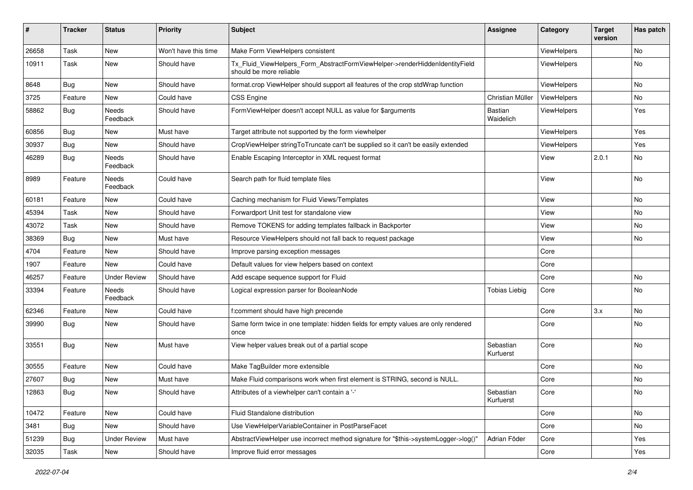| #     | <b>Tracker</b> | <b>Status</b>       | <b>Priority</b>      | Subject                                                                                                | <b>Assignee</b>        | Category    | <b>Target</b><br>version | Has patch |
|-------|----------------|---------------------|----------------------|--------------------------------------------------------------------------------------------------------|------------------------|-------------|--------------------------|-----------|
| 26658 | Task           | New                 | Won't have this time | Make Form ViewHelpers consistent                                                                       |                        | ViewHelpers |                          | No        |
| 10911 | Task           | New                 | Should have          | Tx_Fluid_ViewHelpers_Form_AbstractFormViewHelper->renderHiddenIdentityField<br>should be more reliable |                        | ViewHelpers |                          | No        |
| 8648  | Bug            | New                 | Should have          | format.crop ViewHelper should support all features of the crop stdWrap function                        |                        | ViewHelpers |                          | No        |
| 3725  | Feature        | New                 | Could have           | <b>CSS Engine</b>                                                                                      | Christian Müller       | ViewHelpers |                          | No        |
| 58862 | Bug            | Needs<br>Feedback   | Should have          | FormViewHelper doesn't accept NULL as value for \$arguments                                            | Bastian<br>Waidelich   | ViewHelpers |                          | Yes       |
| 60856 | Bug            | New                 | Must have            | Target attribute not supported by the form viewhelper                                                  |                        | ViewHelpers |                          | Yes       |
| 30937 | Bug            | New                 | Should have          | CropViewHelper stringToTruncate can't be supplied so it can't be easily extended                       |                        | ViewHelpers |                          | Yes       |
| 46289 | Bug            | Needs<br>Feedback   | Should have          | Enable Escaping Interceptor in XML request format                                                      |                        | View        | 2.0.1                    | No        |
| 8989  | Feature        | Needs<br>Feedback   | Could have           | Search path for fluid template files                                                                   |                        | View        |                          | No        |
| 60181 | Feature        | New                 | Could have           | Caching mechanism for Fluid Views/Templates                                                            |                        | View        |                          | No        |
| 45394 | Task           | New                 | Should have          | Forwardport Unit test for standalone view                                                              |                        | View        |                          | No        |
| 43072 | Task           | New                 | Should have          | Remove TOKENS for adding templates fallback in Backporter                                              |                        | View        |                          | No        |
| 38369 | Bug            | New                 | Must have            | Resource ViewHelpers should not fall back to request package                                           |                        | View        |                          | No        |
| 4704  | Feature        | New                 | Should have          | Improve parsing exception messages                                                                     |                        | Core        |                          |           |
| 1907  | Feature        | New                 | Could have           | Default values for view helpers based on context                                                       |                        | Core        |                          |           |
| 46257 | Feature        | <b>Under Review</b> | Should have          | Add escape sequence support for Fluid                                                                  |                        | Core        |                          | No        |
| 33394 | Feature        | Needs<br>Feedback   | Should have          | Logical expression parser for BooleanNode                                                              | <b>Tobias Liebig</b>   | Core        |                          | No        |
| 62346 | Feature        | New                 | Could have           | f:comment should have high precende                                                                    |                        | Core        | 3.x                      | No        |
| 39990 | Bug            | New                 | Should have          | Same form twice in one template: hidden fields for empty values are only rendered<br>once              |                        | Core        |                          | No        |
| 33551 | Bug            | New                 | Must have            | View helper values break out of a partial scope                                                        | Sebastian<br>Kurfuerst | Core        |                          | No        |
| 30555 | Feature        | New                 | Could have           | Make TagBuilder more extensible                                                                        |                        | Core        |                          | No        |
| 27607 | Bug            | New                 | Must have            | Make Fluid comparisons work when first element is STRING, second is NULL.                              |                        | Core        |                          | No        |
| 12863 | Bug            | New                 | Should have          | Attributes of a viewhelper can't contain a '-'                                                         | Sebastian<br>Kurfuerst | Core        |                          | No        |
| 10472 | Feature        | New                 | Could have           | Fluid Standalone distribution                                                                          |                        | Core        |                          | No        |
| 3481  | Bug            | New                 | Should have          | Use ViewHelperVariableContainer in PostParseFacet                                                      |                        | Core        |                          | No        |
| 51239 | Bug            | <b>Under Review</b> | Must have            | AbstractViewHelper use incorrect method signature for "\$this->systemLogger->log()"                    | Adrian Föder           | Core        |                          | Yes       |
| 32035 | Task           | New                 | Should have          | Improve fluid error messages                                                                           |                        | Core        |                          | Yes       |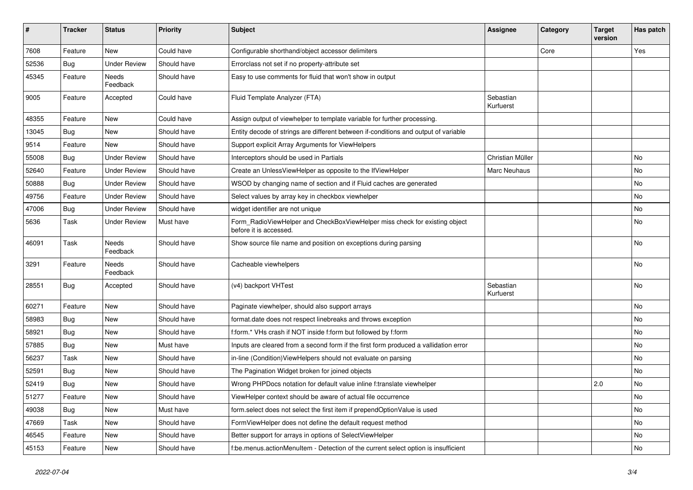| #     | <b>Tracker</b> | <b>Status</b>       | <b>Priority</b> | <b>Subject</b>                                                                                       | <b>Assignee</b>        | Category | <b>Target</b><br>version | Has patch |
|-------|----------------|---------------------|-----------------|------------------------------------------------------------------------------------------------------|------------------------|----------|--------------------------|-----------|
| 7608  | Feature        | New                 | Could have      | Configurable shorthand/object accessor delimiters                                                    |                        | Core     |                          | Yes       |
| 52536 | <b>Bug</b>     | <b>Under Review</b> | Should have     | Errorclass not set if no property-attribute set                                                      |                        |          |                          |           |
| 45345 | Feature        | Needs<br>Feedback   | Should have     | Easy to use comments for fluid that won't show in output                                             |                        |          |                          |           |
| 9005  | Feature        | Accepted            | Could have      | Fluid Template Analyzer (FTA)                                                                        | Sebastian<br>Kurfuerst |          |                          |           |
| 48355 | Feature        | New                 | Could have      | Assign output of viewhelper to template variable for further processing.                             |                        |          |                          |           |
| 13045 | Bug            | New                 | Should have     | Entity decode of strings are different between if-conditions and output of variable                  |                        |          |                          |           |
| 9514  | Feature        | New                 | Should have     | Support explicit Array Arguments for ViewHelpers                                                     |                        |          |                          |           |
| 55008 | Bug            | <b>Under Review</b> | Should have     | Interceptors should be used in Partials                                                              | Christian Müller       |          |                          | No.       |
| 52640 | Feature        | <b>Under Review</b> | Should have     | Create an UnlessViewHelper as opposite to the IfViewHelper                                           | Marc Neuhaus           |          |                          | No        |
| 50888 | <b>Bug</b>     | <b>Under Review</b> | Should have     | WSOD by changing name of section and if Fluid caches are generated                                   |                        |          |                          | No        |
| 49756 | Feature        | <b>Under Review</b> | Should have     | Select values by array key in checkbox viewhelper                                                    |                        |          |                          | No        |
| 47006 | Bug            | <b>Under Review</b> | Should have     | widget identifier are not unique                                                                     |                        |          |                          | No.       |
| 5636  | Task           | <b>Under Review</b> | Must have       | Form_RadioViewHelper and CheckBoxViewHelper miss check for existing object<br>before it is accessed. |                        |          |                          | No        |
| 46091 | Task           | Needs<br>Feedback   | Should have     | Show source file name and position on exceptions during parsing                                      |                        |          |                          | No        |
| 3291  | Feature        | Needs<br>Feedback   | Should have     | Cacheable viewhelpers                                                                                |                        |          |                          | No        |
| 28551 | Bug            | Accepted            | Should have     | (v4) backport VHTest                                                                                 | Sebastian<br>Kurfuerst |          |                          | No        |
| 60271 | Feature        | New                 | Should have     | Paginate viewhelper, should also support arrays                                                      |                        |          |                          | No        |
| 58983 | Bug            | New                 | Should have     | format.date does not respect linebreaks and throws exception                                         |                        |          |                          | No        |
| 58921 | Bug            | New                 | Should have     | f:form.* VHs crash if NOT inside f:form but followed by f:form                                       |                        |          |                          | No        |
| 57885 | Bug            | New                 | Must have       | Inputs are cleared from a second form if the first form produced a vallidation error                 |                        |          |                          | No        |
| 56237 | Task           | New                 | Should have     | in-line (Condition) ViewHelpers should not evaluate on parsing                                       |                        |          |                          | No        |
| 52591 | <b>Bug</b>     | New                 | Should have     | The Pagination Widget broken for joined objects                                                      |                        |          |                          | No        |
| 52419 | Bug            | New                 | Should have     | Wrong PHPDocs notation for default value inline f:translate viewhelper                               |                        |          | 2.0                      | No        |
| 51277 | Feature        | New                 | Should have     | ViewHelper context should be aware of actual file occurrence                                         |                        |          |                          | No        |
| 49038 | Bug            | New                 | Must have       | form.select does not select the first item if prependOptionValue is used                             |                        |          |                          | No        |
| 47669 | Task           | New                 | Should have     | FormViewHelper does not define the default request method                                            |                        |          |                          | No        |
| 46545 | Feature        | New                 | Should have     | Better support for arrays in options of SelectViewHelper                                             |                        |          |                          | No        |
| 45153 | Feature        | New                 | Should have     | f:be.menus.actionMenuItem - Detection of the current select option is insufficient                   |                        |          |                          | No        |